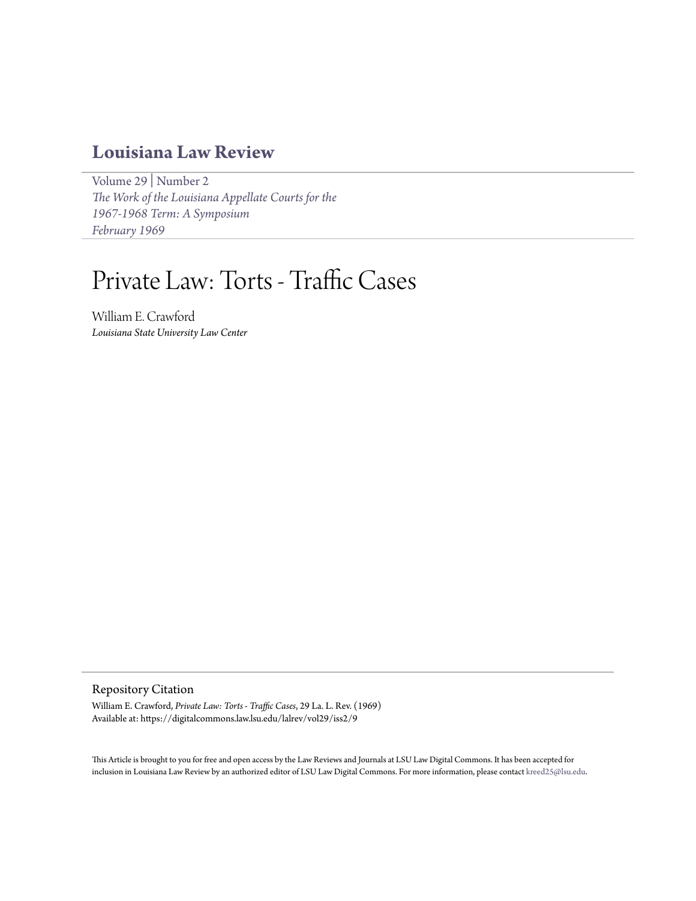# **[Louisiana Law Review](https://digitalcommons.law.lsu.edu/lalrev)**

[Volume 29](https://digitalcommons.law.lsu.edu/lalrev/vol29) | [Number 2](https://digitalcommons.law.lsu.edu/lalrev/vol29/iss2) *[The Work of the Louisiana Appellate Courts for the](https://digitalcommons.law.lsu.edu/lalrev/vol29/iss2) [1967-1968 Term: A Symposium](https://digitalcommons.law.lsu.edu/lalrev/vol29/iss2) [February 1969](https://digitalcommons.law.lsu.edu/lalrev/vol29/iss2)*

# Private Law: Torts - Traffic Cases

William E. Crawford *Louisiana State University Law Center*

Repository Citation

William E. Crawford, *Private Law: Torts - Traffic Cases*, 29 La. L. Rev. (1969) Available at: https://digitalcommons.law.lsu.edu/lalrev/vol29/iss2/9

This Article is brought to you for free and open access by the Law Reviews and Journals at LSU Law Digital Commons. It has been accepted for inclusion in Louisiana Law Review by an authorized editor of LSU Law Digital Commons. For more information, please contact [kreed25@lsu.edu](mailto:kreed25@lsu.edu).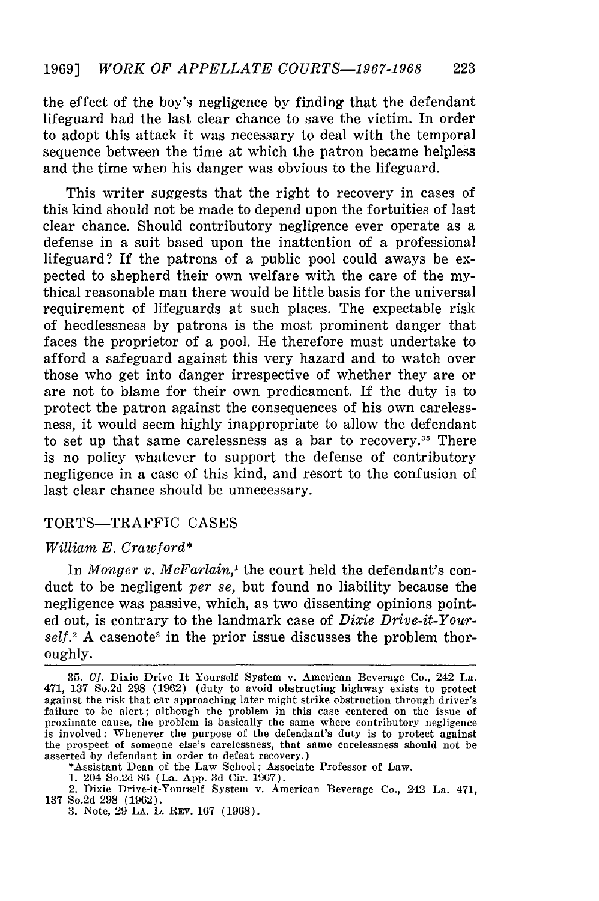the effect of the boy's negligence by finding that the defendant lifeguard had the last clear chance to save the victim. In order to adopt this attack it was necessary to deal with the temporal sequence between the time at which the patron became helpless and the time when his danger was obvious to the lifeguard.

This writer suggests that the right to recovery in cases of this kind should not be made to depend upon the fortuities of last clear chance. Should contributory negligence ever operate as a defense in a suit based upon the inattention of a professional lifeguard? If the patrons of a public pool could aways be expected to shepherd their own welfare with the care of the mythical reasonable man there would be little basis for the universal requirement of lifeguards at such places. The expectable risk of heedlessness by patrons is the most prominent danger that faces the proprietor of a pool. He therefore must undertake to afford a safeguard against this very hazard and to watch over those who get into danger irrespective of whether they are or are not to blame for their own predicament. If the duty is to protect the patron against the consequences of his own carelessness, it would seem highly inappropriate to allow the defendant to set up that same carelessness as a bar to recovery.<sup>35</sup> There is no policy whatever to support the defense of contributory negligence in a case of this kind, and resort to the confusion of last clear chance should be unnecessary.

## TORTS-TRAFFIC CASES

#### *William E. Craw ford\**

In *Monger v. McFarlain*,<sup>1</sup> the court held the defendant's conduct to be negligent *per se,* but found no liability because the negligence was passive, which, as two dissenting opinions pointed out, is contrary to the landmark case of *Dixie Drive-it-Your* $self.^2$  A casenote<sup>3</sup> in the prior issue discusses the problem thoroughly.

<sup>35.</sup> *Cf.* Dixie Drive It Yourself System v. American Beverage Co., 242 La. 471, 137 So.2d 298 (1962) (duty to avoid obstructing highway exists to protect against the risk that car approaching later might strike obstruction through driver's failure to be alert; although the problem in this case centered on the issue of proximate cause, the problem is basically the same where contributory negligence is involved: Whenever the purpose of the defendant's duty is to protect against the prospect of someone else's carelessness, that same carelessness should not be asserted by defendant in order to defeat recovery.)

<sup>\*</sup>Assistant Dean of the Law School; Associate Professor of Law.

<sup>1. 204</sup> So.2d 86 (La. App. 3d Cir. 1967).

<sup>2.</sup> Dixie Drive-it-Yourself System v. American Beverage Co., 242 La. 471, 137 So.2d 298 (1962).

<sup>3.</sup> Note, 29 **LA.** L. REv. **167** (1968).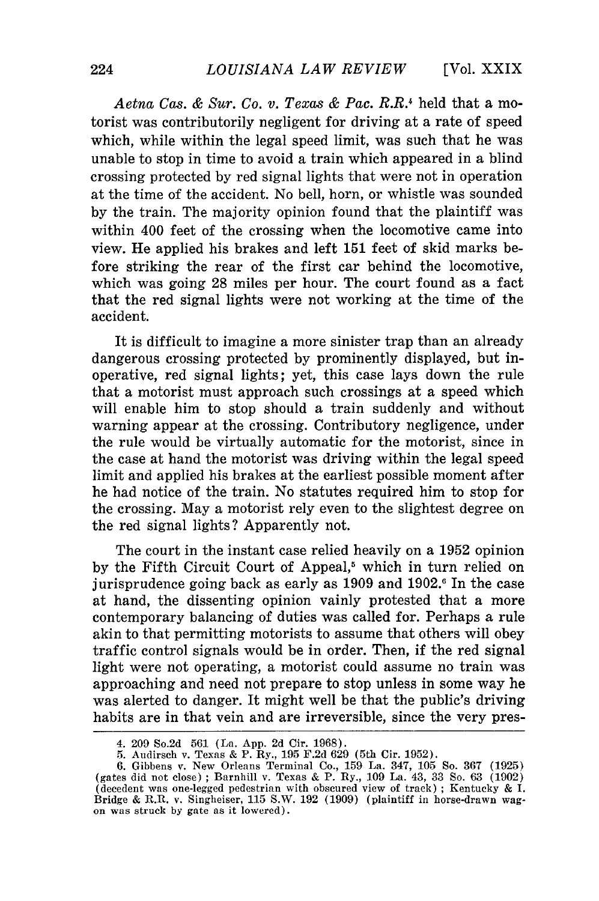*Aetna Cas. & Sur. Co. v. Texas & Pac. R.R.* held that a motorist was contributorily negligent for driving at a rate of speed which, while within the legal speed limit, was such that he was unable to stop in time to avoid a train which appeared in a blind crossing protected by red signal lights that were not in operation at the time of the accident. No bell, horn, or whistle was sounded by the train. The majority opinion found that the plaintiff was within 400 feet of the crossing when the locomotive came into view. He applied his brakes and left 151 feet of skid marks before striking the rear of the first car behind the locomotive, which was going 28 miles per hour. The court found as a fact that the red signal lights were not working at the time of the accident.

It is difficult to imagine a more sinister trap than an already dangerous crossing protected by prominently displayed, but inoperative, red signal lights; yet, this case lays down the rule that a motorist must approach such crossings at a speed which will enable him to stop should a train suddenly and without warning appear at the crossing. Contributory negligence, under the rule would be virtually automatic for the motorist, since in the case at hand the motorist was driving within the legal speed limit and applied his brakes at the earliest possible moment after he had notice of the train. No statutes required him to stop for the crossing. May a motorist rely even to the slightest degree on the red signal lights? Apparently not.

The court in the instant case relied heavily on a 1952 opinion by the Fifth Circuit Court of Appeal,<sup>5</sup> which in turn relied on jurisprudence going back as early as 1909 and 1902.<sup>6</sup> In the case at hand, the dissenting opinion vainly protested that a more contemporary balancing of duties was called for. Perhaps a rule akin to that permitting motorists to assume that others will obey traffic control signals would be in order. Then, if the red signal light were not operating, a motorist could assume no train was approaching and need not prepare to stop unless in some way he was alerted to danger. It might well be that the public's driving habits are in that vein and are irreversible, since the very pres-

<sup>4. 209</sup> So.2d 561 (La. App. 2d Cir. 1968).

<sup>5.</sup> Audirsch v. Texas & P. By., 195 F.2d 629 (5th Cir. 1952).

<sup>6.</sup> Gibbens v. New Orleans Terminal Co., 159 La. 347, 105 So. 367 (1925) (gates did not close) **;** Barnhill v. Texas & P. By., 109 La. 43, **33** So. 63 (1902) (decedent was one-legged pedestrian with obscured view of track) ; Kentucky & I. Bridge & R.R. v. Singheiser, **115** S.W. **192** (1909) (plaintiff in horse-drawn wagon was struck by gate as it lowered).